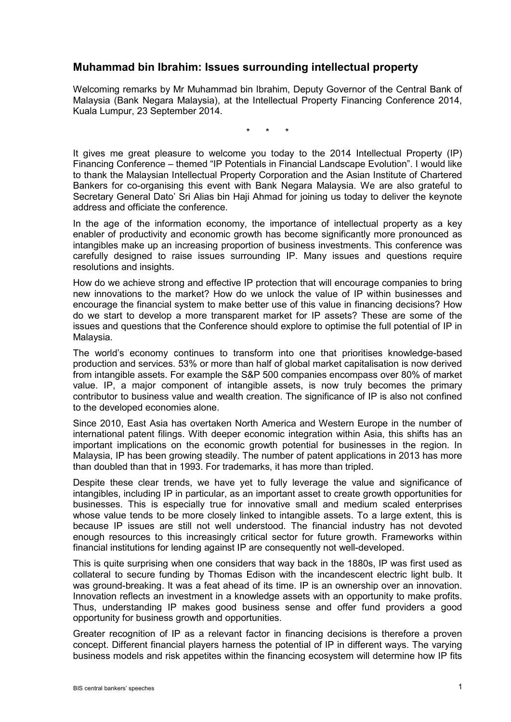## **Muhammad bin Ibrahim: Issues surrounding intellectual property**

Welcoming remarks by Mr Muhammad bin Ibrahim, Deputy Governor of the Central Bank of Malaysia (Bank Negara Malaysia), at the Intellectual Property Financing Conference 2014, Kuala Lumpur, 23 September 2014.

\* \* \*

It gives me great pleasure to welcome you today to the 2014 Intellectual Property (IP) Financing Conference – themed "IP Potentials in Financial Landscape Evolution". I would like to thank the Malaysian Intellectual Property Corporation and the Asian Institute of Chartered Bankers for co-organising this event with Bank Negara Malaysia. We are also grateful to Secretary General Dato' Sri Alias bin Haji Ahmad for joining us today to deliver the keynote address and officiate the conference.

In the age of the information economy, the importance of intellectual property as a key enabler of productivity and economic growth has become significantly more pronounced as intangibles make up an increasing proportion of business investments. This conference was carefully designed to raise issues surrounding IP. Many issues and questions require resolutions and insights.

How do we achieve strong and effective IP protection that will encourage companies to bring new innovations to the market? How do we unlock the value of IP within businesses and encourage the financial system to make better use of this value in financing decisions? How do we start to develop a more transparent market for IP assets? These are some of the issues and questions that the Conference should explore to optimise the full potential of IP in Malaysia.

The world's economy continues to transform into one that prioritises knowledge-based production and services. 53% or more than half of global market capitalisation is now derived from intangible assets. For example the S&P 500 companies encompass over 80% of market value. IP, a major component of intangible assets, is now truly becomes the primary contributor to business value and wealth creation. The significance of IP is also not confined to the developed economies alone.

Since 2010, East Asia has overtaken North America and Western Europe in the number of international patent filings. With deeper economic integration within Asia, this shifts has an important implications on the economic growth potential for businesses in the region. In Malaysia, IP has been growing steadily. The number of patent applications in 2013 has more than doubled than that in 1993. For trademarks, it has more than tripled.

Despite these clear trends, we have yet to fully leverage the value and significance of intangibles, including IP in particular, as an important asset to create growth opportunities for businesses. This is especially true for innovative small and medium scaled enterprises whose value tends to be more closely linked to intangible assets. To a large extent, this is because IP issues are still not well understood. The financial industry has not devoted enough resources to this increasingly critical sector for future growth. Frameworks within financial institutions for lending against IP are consequently not well-developed.

This is quite surprising when one considers that way back in the 1880s, IP was first used as collateral to secure funding by Thomas Edison with the incandescent electric light bulb. It was ground-breaking. It was a feat ahead of its time. IP is an ownership over an innovation. Innovation reflects an investment in a knowledge assets with an opportunity to make profits. Thus, understanding IP makes good business sense and offer fund providers a good opportunity for business growth and opportunities.

Greater recognition of IP as a relevant factor in financing decisions is therefore a proven concept. Different financial players harness the potential of IP in different ways. The varying business models and risk appetites within the financing ecosystem will determine how IP fits